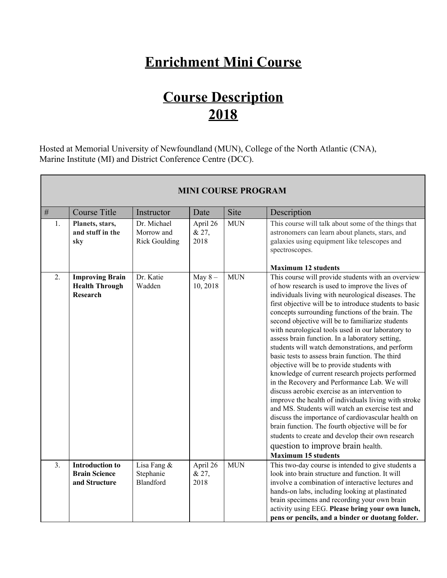## **Enrichment Mini Course**

## **Course Description 2018**

Hosted at Memorial University of Newfoundland (MUN), College of the North Atlantic (CNA), Marine Institute (MI) and District Conference Centre (DCC).

 $\overline{\phantom{0}}$ 

|    | <b>MINI COURSE PROGRAM</b>                                         |                                                   |                           |            |                                                                                                                                                                                                                                                                                                                                                                                                                                                                                                                                                                                                                                                                                                                                                                                                                                                                                                                                                                                                                                                                                               |  |  |  |
|----|--------------------------------------------------------------------|---------------------------------------------------|---------------------------|------------|-----------------------------------------------------------------------------------------------------------------------------------------------------------------------------------------------------------------------------------------------------------------------------------------------------------------------------------------------------------------------------------------------------------------------------------------------------------------------------------------------------------------------------------------------------------------------------------------------------------------------------------------------------------------------------------------------------------------------------------------------------------------------------------------------------------------------------------------------------------------------------------------------------------------------------------------------------------------------------------------------------------------------------------------------------------------------------------------------|--|--|--|
| #  | <b>Course Title</b>                                                | Instructor                                        | Date                      | Site       | Description                                                                                                                                                                                                                                                                                                                                                                                                                                                                                                                                                                                                                                                                                                                                                                                                                                                                                                                                                                                                                                                                                   |  |  |  |
| 1. | Planets, stars,<br>and stuff in the<br>sky                         | Dr. Michael<br>Morrow and<br><b>Rick Goulding</b> | April 26<br>& 27,<br>2018 | <b>MUN</b> | This course will talk about some of the things that<br>astronomers can learn about planets, stars, and<br>galaxies using equipment like telescopes and<br>spectroscopes.                                                                                                                                                                                                                                                                                                                                                                                                                                                                                                                                                                                                                                                                                                                                                                                                                                                                                                                      |  |  |  |
|    |                                                                    |                                                   |                           |            | <b>Maximum 12 students</b>                                                                                                                                                                                                                                                                                                                                                                                                                                                                                                                                                                                                                                                                                                                                                                                                                                                                                                                                                                                                                                                                    |  |  |  |
| 2. | <b>Improving Brain</b><br><b>Health Through</b><br><b>Research</b> | Dr. Katie<br>Wadden                               | May $8-$<br>10, 2018      | <b>MUN</b> | This course will provide students with an overview<br>of how research is used to improve the lives of<br>individuals living with neurological diseases. The<br>first objective will be to introduce students to basic<br>concepts surrounding functions of the brain. The<br>second objective will be to familiarize students<br>with neurological tools used in our laboratory to<br>assess brain function. In a laboratory setting,<br>students will watch demonstrations, and perform<br>basic tests to assess brain function. The third<br>objective will be to provide students with<br>knowledge of current research projects performed<br>in the Recovery and Performance Lab. We will<br>discuss aerobic exercise as an intervention to<br>improve the health of individuals living with stroke<br>and MS. Students will watch an exercise test and<br>discuss the importance of cardiovascular health on<br>brain function. The fourth objective will be for<br>students to create and develop their own research<br>question to improve brain health.<br><b>Maximum 15 students</b> |  |  |  |
| 3. | <b>Introduction to</b>                                             | Lisa Fang &                                       | April 26                  | <b>MUN</b> | This two-day course is intended to give students a                                                                                                                                                                                                                                                                                                                                                                                                                                                                                                                                                                                                                                                                                                                                                                                                                                                                                                                                                                                                                                            |  |  |  |
|    | <b>Brain Science</b><br>and Structure                              | Stephanie<br><b>Blandford</b>                     | & 27,<br>2018             |            | look into brain structure and function. It will<br>involve a combination of interactive lectures and<br>hands-on labs, including looking at plastinated<br>brain specimens and recording your own brain<br>activity using EEG. Please bring your own lunch,<br>pens or pencils, and a binder or duotang folder.                                                                                                                                                                                                                                                                                                                                                                                                                                                                                                                                                                                                                                                                                                                                                                               |  |  |  |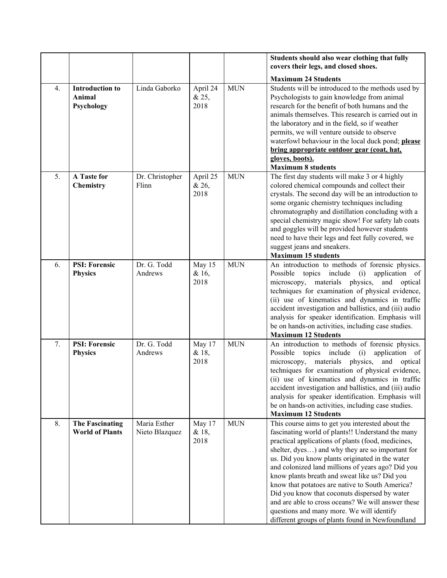|    |                                                  |                                |                           |            | Students should also wear clothing that fully                                                                                                                                                                                                                                                                                                                                                                                                                                                                                                                                                                                       |
|----|--------------------------------------------------|--------------------------------|---------------------------|------------|-------------------------------------------------------------------------------------------------------------------------------------------------------------------------------------------------------------------------------------------------------------------------------------------------------------------------------------------------------------------------------------------------------------------------------------------------------------------------------------------------------------------------------------------------------------------------------------------------------------------------------------|
|    |                                                  |                                |                           |            | covers their legs, and closed shoes.                                                                                                                                                                                                                                                                                                                                                                                                                                                                                                                                                                                                |
|    |                                                  |                                |                           |            | <b>Maximum 24 Students</b>                                                                                                                                                                                                                                                                                                                                                                                                                                                                                                                                                                                                          |
| 4. | <b>Introduction to</b><br>Animal<br>Psychology   | Linda Gaborko                  | April 24<br>& 25,<br>2018 | <b>MUN</b> | Students will be introduced to the methods used by<br>Psychologists to gain knowledge from animal<br>research for the benefit of both humans and the<br>animals themselves. This research is carried out in<br>the laboratory and in the field, so if weather<br>permits, we will venture outside to observe<br>waterfowl behaviour in the local duck pond; please<br>bring appropriate outdoor gear (coat, hat,<br>gloves, boots).<br><b>Maximum 8 students</b>                                                                                                                                                                    |
| 5. | A Taste for<br>Chemistry                         | Dr. Christopher<br>Flinn       | April 25<br>& 26,<br>2018 | <b>MUN</b> | The first day students will make 3 or 4 highly<br>colored chemical compounds and collect their<br>crystals. The second day will be an introduction to<br>some organic chemistry techniques including<br>chromatography and distillation concluding with a<br>special chemistry magic show! For safety lab coats<br>and goggles will be provided however students<br>need to have their legs and feet fully covered, we<br>suggest jeans and sneakers.<br><b>Maximum 15 students</b>                                                                                                                                                 |
| 6. | <b>PSI: Forensic</b><br><b>Physics</b>           | Dr. G. Todd<br>Andrews         | May 15<br>& 16,<br>2018   | <b>MUN</b> | An introduction to methods of forensic physics.<br>Possible topics include (i)<br>application of<br>microscopy, materials physics,<br>and optical<br>techniques for examination of physical evidence,<br>(ii) use of kinematics and dynamics in traffic<br>accident investigation and ballistics, and (iii) audio<br>analysis for speaker identification. Emphasis will<br>be on hands-on activities, including case studies.<br><b>Maximum 12 Students</b>                                                                                                                                                                         |
| 7. | <b>PSI: Forensic</b><br><b>Physics</b>           | Dr. G. Todd<br>Andrews         | May 17<br>& 18,<br>2018   | <b>MUN</b> | An introduction to methods of forensic physics.<br>Possible topics include (i)<br>application of<br>microscopy, materials physics, and optical<br>techniques for examination of physical evidence,<br>(ii) use of kinematics and dynamics in traffic<br>accident investigation and ballistics, and (iii) audio<br>analysis for speaker identification. Emphasis will<br>be on hands-on activities, including case studies.<br><b>Maximum 12 Students</b>                                                                                                                                                                            |
| 8. | <b>The Fascinating</b><br><b>World of Plants</b> | Maria Esther<br>Nieto Blazquez | May 17<br>& 18,<br>2018   | <b>MUN</b> | This course aims to get you interested about the<br>fascinating world of plants!! Understand the many<br>practical applications of plants (food, medicines,<br>shelter, dyes) and why they are so important for<br>us. Did you know plants originated in the water<br>and colonized land millions of years ago? Did you<br>know plants breath and sweat like us? Did you<br>know that potatoes are native to South America?<br>Did you know that coconuts dispersed by water<br>and are able to cross oceans? We will answer these<br>questions and many more. We will identify<br>different groups of plants found in Newfoundland |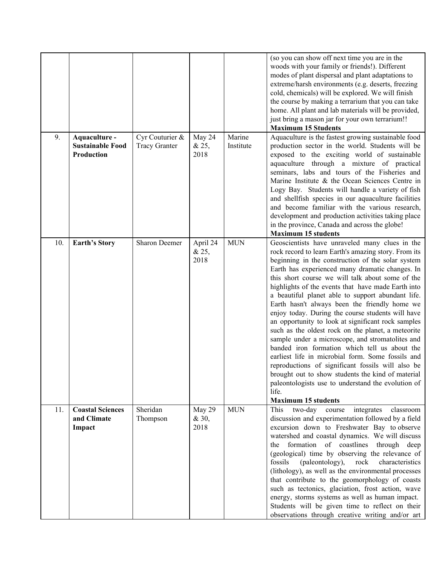|     |                                                        |                                         |                           |                     | (so you can show off next time you are in the<br>woods with your family or friends!). Different<br>modes of plant dispersal and plant adaptations to<br>extreme/harsh environments (e.g. deserts, freezing<br>cold, chemicals) will be explored. We will finish<br>the course by making a terrarium that you can take<br>home. All plant and lab materials will be provided,<br>just bring a mason jar for your own terrarium!!<br><b>Maximum 15 Students</b>                                                                                                                                                                                                                                                                                                                                                                                                                                                                                                    |
|-----|--------------------------------------------------------|-----------------------------------------|---------------------------|---------------------|------------------------------------------------------------------------------------------------------------------------------------------------------------------------------------------------------------------------------------------------------------------------------------------------------------------------------------------------------------------------------------------------------------------------------------------------------------------------------------------------------------------------------------------------------------------------------------------------------------------------------------------------------------------------------------------------------------------------------------------------------------------------------------------------------------------------------------------------------------------------------------------------------------------------------------------------------------------|
| 9.  | Aquaculture -<br><b>Sustainable Food</b><br>Production | Cyr Couturier &<br><b>Tracy Granter</b> | May 24<br>& 25,<br>2018   | Marine<br>Institute | Aquaculture is the fastest growing sustainable food<br>production sector in the world. Students will be<br>exposed to the exciting world of sustainable<br>aquaculture through a mixture of practical<br>seminars, labs and tours of the Fisheries and<br>Marine Institute & the Ocean Sciences Centre in<br>Logy Bay. Students will handle a variety of fish<br>and shellfish species in our aquaculture facilities<br>and become familiar with the various research,<br>development and production activities taking place<br>in the province, Canada and across the globe!<br><b>Maximum 15 students</b>                                                                                                                                                                                                                                                                                                                                                      |
| 10. | <b>Earth's Story</b>                                   | Sharon Deemer                           | April 24<br>& 25,<br>2018 | <b>MUN</b>          | Geoscientists have unraveled many clues in the<br>rock record to learn Earth's amazing story. From its<br>beginning in the construction of the solar system<br>Earth has experienced many dramatic changes. In<br>this short course we will talk about some of the<br>highlights of the events that have made Earth into<br>a beautiful planet able to support abundant life.<br>Earth hasn't always been the friendly home we<br>enjoy today. During the course students will have<br>an opportunity to look at significant rock samples<br>such as the oldest rock on the planet, a meteorite<br>sample under a microscope, and stromatolites and<br>banded iron formation which tell us about the<br>earliest life in microbial form. Some fossils and<br>reproductions of significant fossils will also be<br>brought out to show students the kind of material<br>paleontologists use to understand the evolution of<br>life.<br><b>Maximum 15 students</b> |
| 11. | <b>Coastal Sciences</b><br>and Climate<br>Impact       | Sheridan<br>Thompson                    | May 29<br>& 30,<br>2018   | <b>MUN</b>          | This<br>two-day<br>integrates<br>classroom<br>course<br>discussion and experimentation followed by a field<br>excursion down to Freshwater Bay to observe<br>watershed and coastal dynamics. We will discuss<br>the formation of coastlines through deep<br>(geological) time by observing the relevance of<br>fossils (paleontology),<br>rock<br>characteristics<br>(lithology), as well as the environmental processes<br>that contribute to the geomorphology of coasts<br>such as tectonics, glaciation, frost action, wave<br>energy, storms systems as well as human impact.<br>Students will be given time to reflect on their<br>observations through creative writing and/or art                                                                                                                                                                                                                                                                        |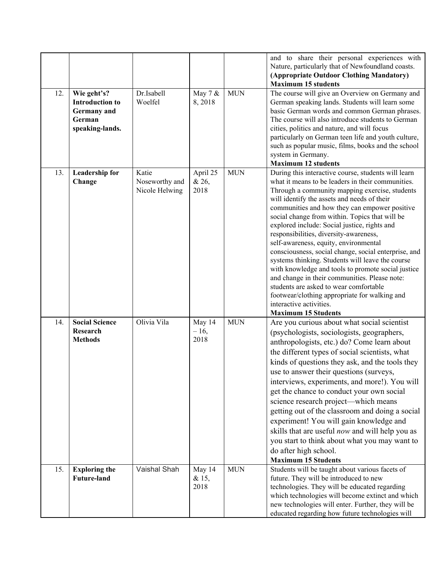|     |                                                                                          |                                           |                           |            | and to share their personal experiences with<br>Nature, particularly that of Newfoundland coasts.<br>(Appropriate Outdoor Clothing Mandatory)<br><b>Maximum 15 students</b>                                                                                                                                                                                                                                                                                                                                                                                                                                                                                                                                                                                                                                            |
|-----|------------------------------------------------------------------------------------------|-------------------------------------------|---------------------------|------------|------------------------------------------------------------------------------------------------------------------------------------------------------------------------------------------------------------------------------------------------------------------------------------------------------------------------------------------------------------------------------------------------------------------------------------------------------------------------------------------------------------------------------------------------------------------------------------------------------------------------------------------------------------------------------------------------------------------------------------------------------------------------------------------------------------------------|
| 12. | Wie geht's?<br><b>Introduction to</b><br><b>Germany</b> and<br>German<br>speaking-lands. | Dr.Isabell<br>Woelfel                     | May 7 &<br>8,2018         | <b>MUN</b> | The course will give an Overview on Germany and<br>German speaking lands. Students will learn some<br>basic German words and common German phrases.<br>The course will also introduce students to German<br>cities, politics and nature, and will focus<br>particularly on German teen life and youth culture,<br>such as popular music, films, books and the school<br>system in Germany.<br><b>Maximum 12 students</b>                                                                                                                                                                                                                                                                                                                                                                                               |
| 13. | <b>Leadership for</b><br>Change                                                          | Katie<br>Noseworthy and<br>Nicole Helwing | April 25<br>& 26,<br>2018 | <b>MUN</b> | During this interactive course, students will learn<br>what it means to be leaders in their communities.<br>Through a community mapping exercise, students<br>will identify the assets and needs of their<br>communities and how they can empower positive<br>social change from within. Topics that will be<br>explored include: Social justice, rights and<br>responsibilities, diversity-awareness,<br>self-awareness, equity, environmental<br>consciousness, social change, social enterprise, and<br>systems thinking. Students will leave the course<br>with knowledge and tools to promote social justice<br>and change in their communities. Please note:<br>students are asked to wear comfortable<br>footwear/clothing appropriate for walking and<br>interactive activities.<br><b>Maximum 15 Students</b> |
| 14. | <b>Social Science</b><br>Research<br><b>Methods</b>                                      | Olivia Vila                               | May 14<br>$-16,$<br>2018  | <b>MUN</b> | Are you curious about what social scientist<br>(psychologists, sociologists, geographers,<br>anthropologists, etc.) do? Come learn about<br>the different types of social scientists, what<br>kinds of questions they ask, and the tools they<br>use to answer their questions (surveys,<br>interviews, experiments, and more!). You will<br>get the chance to conduct your own social<br>science research project—which means<br>getting out of the classroom and doing a social<br>experiment! You will gain knowledge and<br>skills that are useful now and will help you as<br>you start to think about what you may want to<br>do after high school.<br><b>Maximum 15 Students</b>                                                                                                                                |
| 15. | <b>Exploring the</b><br><b>Future-land</b>                                               | Vaishal Shah                              | May 14<br>& 15,<br>2018   | <b>MUN</b> | Students will be taught about various facets of<br>future. They will be introduced to new<br>technologies. They will be educated regarding<br>which technologies will become extinct and which<br>new technologies will enter. Further, they will be<br>educated regarding how future technologies will                                                                                                                                                                                                                                                                                                                                                                                                                                                                                                                |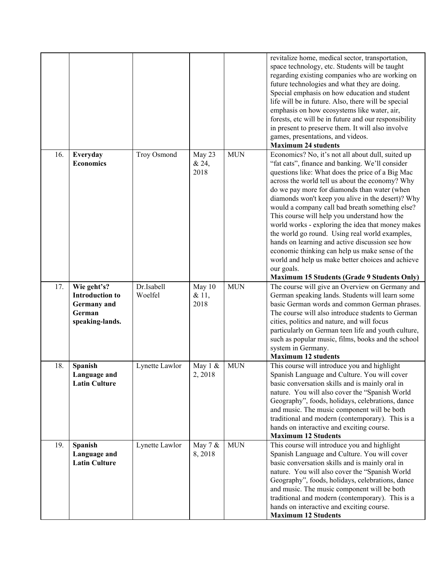|     |                                                                                          |                       |                         |            | revitalize home, medical sector, transportation,<br>space technology, etc. Students will be taught<br>regarding existing companies who are working on<br>future technologies and what they are doing.<br>Special emphasis on how education and student<br>life will be in future. Also, there will be special<br>emphasis on how ecosystems like water, air,<br>forests, etc will be in future and our responsibility                                                                                                                                                                                                                                                                                                                                     |
|-----|------------------------------------------------------------------------------------------|-----------------------|-------------------------|------------|-----------------------------------------------------------------------------------------------------------------------------------------------------------------------------------------------------------------------------------------------------------------------------------------------------------------------------------------------------------------------------------------------------------------------------------------------------------------------------------------------------------------------------------------------------------------------------------------------------------------------------------------------------------------------------------------------------------------------------------------------------------|
|     |                                                                                          |                       |                         |            | in present to preserve them. It will also involve<br>games, presentations, and videos.                                                                                                                                                                                                                                                                                                                                                                                                                                                                                                                                                                                                                                                                    |
|     |                                                                                          |                       |                         |            | <b>Maximum 24 students</b>                                                                                                                                                                                                                                                                                                                                                                                                                                                                                                                                                                                                                                                                                                                                |
| 16. | Everyday<br><b>Economics</b>                                                             | Troy Osmond           | May 23<br>& 24,<br>2018 | <b>MUN</b> | Economics? No, it's not all about dull, suited up<br>"fat cats", finance and banking. We'll consider<br>questions like: What does the price of a Big Mac<br>across the world tell us about the economy? Why<br>do we pay more for diamonds than water (when<br>diamonds won't keep you alive in the desert)? Why<br>would a company call bad breath something else?<br>This course will help you understand how the<br>world works - exploring the idea that money makes<br>the world go round. Using real world examples,<br>hands on learning and active discussion see how<br>economic thinking can help us make sense of the<br>world and help us make better choices and achieve<br>our goals.<br><b>Maximum 15 Students (Grade 9 Students Only)</b> |
| 17. | Wie geht's?<br><b>Introduction to</b><br><b>Germany</b> and<br>German<br>speaking-lands. | Dr.Isabell<br>Woelfel | May 10<br>& 11,<br>2018 | <b>MUN</b> | The course will give an Overview on Germany and<br>German speaking lands. Students will learn some<br>basic German words and common German phrases.<br>The course will also introduce students to German<br>cities, politics and nature, and will focus<br>particularly on German teen life and youth culture,<br>such as popular music, films, books and the school<br>system in Germany.<br><b>Maximum 12 students</b>                                                                                                                                                                                                                                                                                                                                  |
| 18. | Spanish<br>Language and<br><b>Latin Culture</b>                                          | Lynette Lawlor        | May 1 &<br>2, 2018      | <b>MUN</b> | This course will introduce you and highlight<br>Spanish Language and Culture. You will cover<br>basic conversation skills and is mainly oral in<br>nature. You will also cover the "Spanish World<br>Geography", foods, holidays, celebrations, dance<br>and music. The music component will be both<br>traditional and modern (contemporary). This is a<br>hands on interactive and exciting course.<br><b>Maximum 12 Students</b>                                                                                                                                                                                                                                                                                                                       |
| 19. | Spanish<br>Language and<br><b>Latin Culture</b>                                          | Lynette Lawlor        | May 7 &<br>8,2018       | <b>MUN</b> | This course will introduce you and highlight<br>Spanish Language and Culture. You will cover<br>basic conversation skills and is mainly oral in<br>nature. You will also cover the "Spanish World<br>Geography", foods, holidays, celebrations, dance<br>and music. The music component will be both<br>traditional and modern (contemporary). This is a<br>hands on interactive and exciting course.<br><b>Maximum 12 Students</b>                                                                                                                                                                                                                                                                                                                       |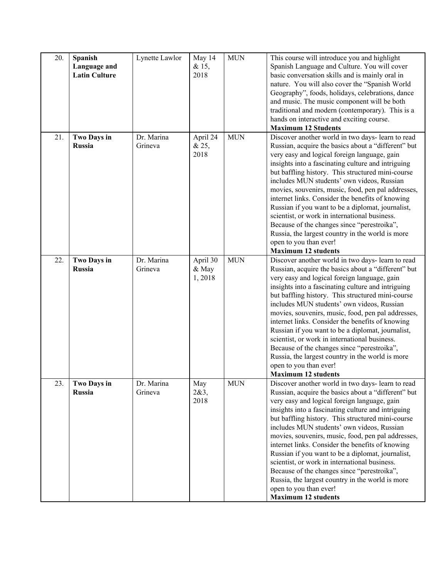| 20. | Spanish<br>Language and<br><b>Latin Culture</b> | Lynette Lawlor        | May 14<br>& 15,<br>2018     | <b>MUN</b> | This course will introduce you and highlight<br>Spanish Language and Culture. You will cover<br>basic conversation skills and is mainly oral in<br>nature. You will also cover the "Spanish World<br>Geography", foods, holidays, celebrations, dance<br>and music. The music component will be both<br>traditional and modern (contemporary). This is a<br>hands on interactive and exciting course.<br><b>Maximum 12 Students</b>                                                                                                                                                                                                                                                          |
|-----|-------------------------------------------------|-----------------------|-----------------------------|------------|----------------------------------------------------------------------------------------------------------------------------------------------------------------------------------------------------------------------------------------------------------------------------------------------------------------------------------------------------------------------------------------------------------------------------------------------------------------------------------------------------------------------------------------------------------------------------------------------------------------------------------------------------------------------------------------------|
| 21. | Two Days in<br><b>Russia</b>                    | Dr. Marina<br>Grineva | April 24<br>& 25,<br>2018   | <b>MUN</b> | Discover another world in two days- learn to read<br>Russian, acquire the basics about a "different" but<br>very easy and logical foreign language, gain<br>insights into a fascinating culture and intriguing<br>but baffling history. This structured mini-course<br>includes MUN students' own videos, Russian<br>movies, souvenirs, music, food, pen pal addresses,<br>internet links. Consider the benefits of knowing<br>Russian if you want to be a diplomat, journalist,<br>scientist, or work in international business.<br>Because of the changes since "perestroika",<br>Russia, the largest country in the world is more<br>open to you than ever!<br><b>Maximum 12 students</b> |
| 22. | Two Days in<br><b>Russia</b>                    | Dr. Marina<br>Grineva | April 30<br>& May<br>1,2018 | <b>MUN</b> | Discover another world in two days- learn to read<br>Russian, acquire the basics about a "different" but<br>very easy and logical foreign language, gain<br>insights into a fascinating culture and intriguing<br>but baffling history. This structured mini-course<br>includes MUN students' own videos, Russian<br>movies, souvenirs, music, food, pen pal addresses,<br>internet links. Consider the benefits of knowing<br>Russian if you want to be a diplomat, journalist,<br>scientist, or work in international business.<br>Because of the changes since "perestroika",<br>Russia, the largest country in the world is more<br>open to you than ever!<br><b>Maximum 12 students</b> |
| 23. | <b>Two Days in</b><br>Russia                    | Dr. Marina<br>Grineva | May<br>2&3,<br>2018         | <b>MUN</b> | Discover another world in two days-learn to read<br>Russian, acquire the basics about a "different" but<br>very easy and logical foreign language, gain<br>insights into a fascinating culture and intriguing<br>but baffling history. This structured mini-course<br>includes MUN students' own videos, Russian<br>movies, souvenirs, music, food, pen pal addresses,<br>internet links. Consider the benefits of knowing<br>Russian if you want to be a diplomat, journalist,<br>scientist, or work in international business.<br>Because of the changes since "perestroika",<br>Russia, the largest country in the world is more<br>open to you than ever!<br><b>Maximum 12 students</b>  |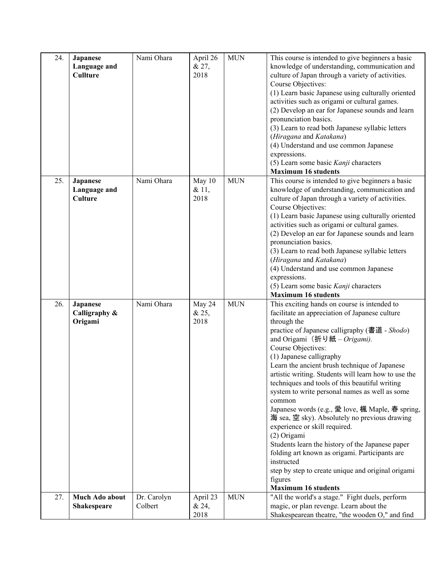| 24. | Japanese<br>Language and<br><b>Cullture</b> | Nami Ohara             | April 26<br>& 27,<br>2018 | <b>MUN</b> | This course is intended to give beginners a basic<br>knowledge of understanding, communication and<br>culture of Japan through a variety of activities.<br>Course Objectives:<br>(1) Learn basic Japanese using culturally oriented<br>activities such as origami or cultural games.<br>(2) Develop an ear for Japanese sounds and learn<br>pronunciation basics.<br>(3) Learn to read both Japanese syllabic letters<br>(Hiragana and Katakana)<br>(4) Understand and use common Japanese<br>expressions.<br>(5) Learn some basic Kanji characters<br><b>Maximum 16 students</b>                                                                                                                                                                                                                                                               |
|-----|---------------------------------------------|------------------------|---------------------------|------------|-------------------------------------------------------------------------------------------------------------------------------------------------------------------------------------------------------------------------------------------------------------------------------------------------------------------------------------------------------------------------------------------------------------------------------------------------------------------------------------------------------------------------------------------------------------------------------------------------------------------------------------------------------------------------------------------------------------------------------------------------------------------------------------------------------------------------------------------------|
| 25. | <b>Japanese</b><br>Language and<br>Culture  | Nami Ohara             | May 10<br>& 11,<br>2018   | <b>MUN</b> | This course is intended to give beginners a basic<br>knowledge of understanding, communication and<br>culture of Japan through a variety of activities.<br>Course Objectives:<br>(1) Learn basic Japanese using culturally oriented<br>activities such as origami or cultural games.<br>(2) Develop an ear for Japanese sounds and learn<br>pronunciation basics.<br>(3) Learn to read both Japanese syllabic letters<br>(Hiragana and Katakana)<br>(4) Understand and use common Japanese<br>expressions.<br>(5) Learn some basic Kanji characters<br><b>Maximum 16 students</b>                                                                                                                                                                                                                                                               |
| 26. | <b>Japanese</b><br>Calligraphy &<br>Origami | Nami Ohara             | May 24<br>& 25,<br>2018   | <b>MUN</b> | This exciting hands on course is intended to<br>facilitate an appreciation of Japanese culture<br>through the<br>practice of Japanese calligraphy (書道 - Shodo)<br>and Origami (折り紙 – Origami).<br>Course Objectives:<br>(1) Japanese calligraphy<br>Learn the ancient brush technique of Japanese<br>artistic writing. Students will learn how to use the<br>techniques and tools of this beautiful writing<br>system to write personal names as well as some<br>common<br>Japanese words (e.g., 愛 love, 楓 Maple, 春 spring,<br>海 sea, 空 sky). Absolutely no previous drawing<br>experience or skill required.<br>(2) Origami<br>Students learn the history of the Japanese paper<br>folding art known as origami. Participants are<br>instructed<br>step by step to create unique and original origami<br>figures<br><b>Maximum 16 students</b> |
| 27. | Much Ado about<br><b>Shakespeare</b>        | Dr. Carolyn<br>Colbert | April 23<br>& 24,         | <b>MUN</b> | "All the world's a stage." Fight duels, perform<br>magic, or plan revenge. Learn about the                                                                                                                                                                                                                                                                                                                                                                                                                                                                                                                                                                                                                                                                                                                                                      |
|     |                                             |                        | 2018                      |            | Shakespearean theatre, "the wooden O," and find                                                                                                                                                                                                                                                                                                                                                                                                                                                                                                                                                                                                                                                                                                                                                                                                 |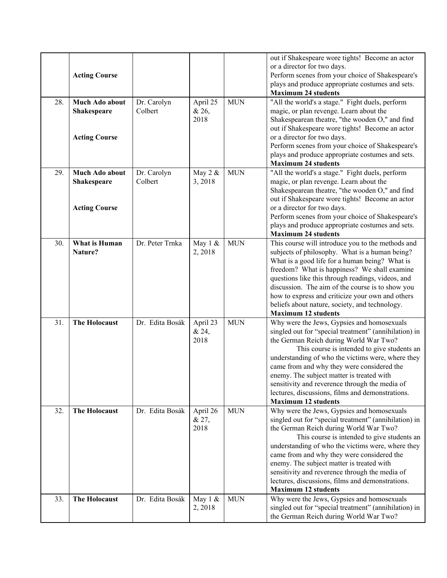|     | <b>Acting Course</b>                 |                        |                           |            | out if Shakespeare wore tights! Become an actor<br>or a director for two days.<br>Perform scenes from your choice of Shakespeare's<br>plays and produce appropriate costumes and sets.<br><b>Maximum 24 students</b>                                                                                                                                                                                                                                                             |
|-----|--------------------------------------|------------------------|---------------------------|------------|----------------------------------------------------------------------------------------------------------------------------------------------------------------------------------------------------------------------------------------------------------------------------------------------------------------------------------------------------------------------------------------------------------------------------------------------------------------------------------|
| 28. | Much Ado about<br><b>Shakespeare</b> | Dr. Carolyn<br>Colbert | April 25<br>& 26,<br>2018 | <b>MUN</b> | "All the world's a stage." Fight duels, perform<br>magic, or plan revenge. Learn about the<br>Shakespearean theatre, "the wooden O," and find                                                                                                                                                                                                                                                                                                                                    |
|     | <b>Acting Course</b>                 |                        |                           |            | out if Shakespeare wore tights! Become an actor<br>or a director for two days.<br>Perform scenes from your choice of Shakespeare's<br>plays and produce appropriate costumes and sets.                                                                                                                                                                                                                                                                                           |
| 29. | Much Ado about<br><b>Shakespeare</b> | Dr. Carolyn<br>Colbert | May 2 &<br>3,2018         | <b>MUN</b> | <b>Maximum 24 students</b><br>"All the world's a stage." Fight duels, perform<br>magic, or plan revenge. Learn about the<br>Shakespearean theatre, "the wooden O," and find<br>out if Shakespeare wore tights! Become an actor                                                                                                                                                                                                                                                   |
|     | <b>Acting Course</b>                 |                        |                           |            | or a director for two days.<br>Perform scenes from your choice of Shakespeare's<br>plays and produce appropriate costumes and sets.<br><b>Maximum 24 students</b>                                                                                                                                                                                                                                                                                                                |
| 30. | <b>What is Human</b><br>Nature?      | Dr. Peter Trnka        | May 1 &<br>2,2018         | <b>MUN</b> | This course will introduce you to the methods and<br>subjects of philosophy. What is a human being?<br>What is a good life for a human being? What is<br>freedom? What is happiness? We shall examine<br>questions like this through readings, videos, and<br>discussion. The aim of the course is to show you<br>how to express and criticize your own and others<br>beliefs about nature, society, and technology.<br><b>Maximum 12 students</b>                               |
| 31. | <b>The Holocaust</b>                 | Dr. Edita Bosák        | April 23<br>& 24,<br>2018 | <b>MUN</b> | Why were the Jews, Gypsies and homosexuals<br>singled out for "special treatment" (annihilation) in<br>the German Reich during World War Two?<br>This course is intended to give students an<br>understanding of who the victims were, where they<br>came from and why they were considered the<br>enemy. The subject matter is treated with<br>sensitivity and reverence through the media of<br>lectures, discussions, films and demonstrations.<br><b>Maximum 12 students</b> |
| 32. | <b>The Holocaust</b>                 | Dr. Edita Bosák        | April 26<br>& 27,<br>2018 | <b>MUN</b> | Why were the Jews, Gypsies and homosexuals<br>singled out for "special treatment" (annihilation) in<br>the German Reich during World War Two?<br>This course is intended to give students an<br>understanding of who the victims were, where they<br>came from and why they were considered the<br>enemy. The subject matter is treated with<br>sensitivity and reverence through the media of<br>lectures, discussions, films and demonstrations.<br><b>Maximum 12 students</b> |
| 33. | <b>The Holocaust</b>                 | Dr. Edita Bosák        | May 1 &<br>2, 2018        | <b>MUN</b> | Why were the Jews, Gypsies and homosexuals<br>singled out for "special treatment" (annihilation) in<br>the German Reich during World War Two?                                                                                                                                                                                                                                                                                                                                    |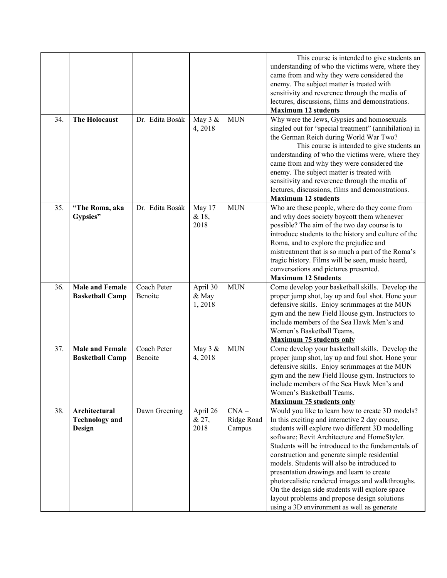|     |                                                  |                        |                             |                                 | This course is intended to give students an<br>understanding of who the victims were, where they<br>came from and why they were considered the<br>enemy. The subject matter is treated with<br>sensitivity and reverence through the media of<br>lectures, discussions, films and demonstrations.<br><b>Maximum 12 students</b>                                                                                                                                                                                                                                                                              |
|-----|--------------------------------------------------|------------------------|-----------------------------|---------------------------------|--------------------------------------------------------------------------------------------------------------------------------------------------------------------------------------------------------------------------------------------------------------------------------------------------------------------------------------------------------------------------------------------------------------------------------------------------------------------------------------------------------------------------------------------------------------------------------------------------------------|
| 34. | <b>The Holocaust</b>                             | Dr. Edita Bosák        | May 3 &<br>4,2018           | <b>MUN</b>                      | Why were the Jews, Gypsies and homosexuals<br>singled out for "special treatment" (annihilation) in<br>the German Reich during World War Two?<br>This course is intended to give students an<br>understanding of who the victims were, where they<br>came from and why they were considered the<br>enemy. The subject matter is treated with<br>sensitivity and reverence through the media of<br>lectures, discussions, films and demonstrations.<br><b>Maximum 12 students</b>                                                                                                                             |
| 35. | "The Roma, aka<br>Gypsies"                       | Dr. Edita Bosák        | May 17<br>& 18,<br>2018     | <b>MUN</b>                      | Who are these people, where do they come from<br>and why does society boycott them whenever<br>possible? The aim of the two day course is to<br>introduce students to the history and culture of the<br>Roma, and to explore the prejudice and<br>mistreatment that is so much a part of the Roma's<br>tragic history. Films will be seen, music heard,<br>conversations and pictures presented.<br><b>Maximum 12 Students</b>                                                                                                                                                                               |
| 36. | <b>Male and Female</b><br><b>Basketball Camp</b> | Coach Peter<br>Benoite | April 30<br>& May<br>1,2018 | <b>MUN</b>                      | Come develop your basketball skills. Develop the<br>proper jump shot, lay up and foul shot. Hone your<br>defensive skills. Enjoy scrimmages at the MUN<br>gym and the new Field House gym. Instructors to<br>include members of the Sea Hawk Men's and<br>Women's Basketball Teams.<br><b>Maximum 75 students only</b>                                                                                                                                                                                                                                                                                       |
| 37. | <b>Male and Female</b><br><b>Basketball Camp</b> | Coach Peter<br>Benoite | May 3 &<br>4,2018           | <b>MUN</b>                      | Come develop your basketball skills. Develop the<br>proper jump shot, lay up and foul shot. Hone your<br>defensive skills. Enjoy scrimmages at the MUN<br>gym and the new Field House gym. Instructors to<br>include members of the Sea Hawk Men's and<br>Women's Basketball Teams.<br><b>Maximum 75 students only</b>                                                                                                                                                                                                                                                                                       |
| 38. | Architectural<br><b>Technology and</b><br>Design | Dawn Greening          | April 26<br>& 27,<br>2018   | $CNA -$<br>Ridge Road<br>Campus | Would you like to learn how to create 3D models?<br>In this exciting and interactive 2 day course,<br>students will explore two different 3D modelling<br>software; Revit Architecture and HomeStyler.<br>Students will be introduced to the fundamentals of<br>construction and generate simple residential<br>models. Students will also be introduced to<br>presentation drawings and learn to create<br>photorealistic rendered images and walkthroughs.<br>On the design side students will explore space<br>layout problems and propose design solutions<br>using a 3D environment as well as generate |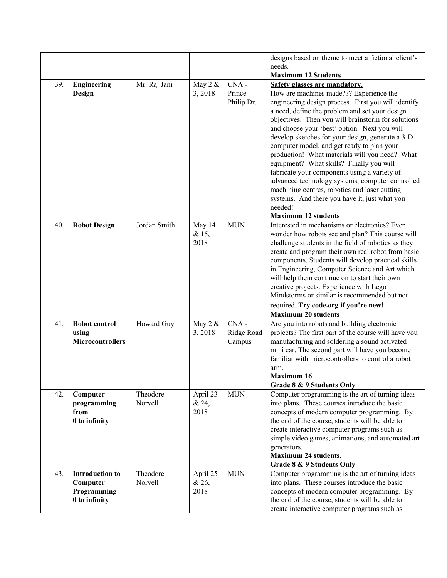| designs based on theme to meet a fictional client's                                                                                      |  |
|------------------------------------------------------------------------------------------------------------------------------------------|--|
| needs.                                                                                                                                   |  |
| <b>Maximum 12 Students</b>                                                                                                               |  |
| Mr. Raj Jani<br>CNA-<br>39.<br>May 2 &<br>Safety glasses are mandatory.<br><b>Engineering</b>                                            |  |
| How are machines made??? Experience the<br>Prince<br>3,2018<br>Design                                                                    |  |
| Philip Dr.<br>engineering design process. First you will identify                                                                        |  |
| a need, define the problem and set your design                                                                                           |  |
| objectives. Then you will brainstorm for solutions                                                                                       |  |
| and choose your 'best' option. Next you will                                                                                             |  |
| develop sketches for your design, generate a 3-D                                                                                         |  |
| computer model, and get ready to plan your<br>production! What materials will you need? What                                             |  |
| equipment? What skills? Finally you will                                                                                                 |  |
| fabricate your components using a variety of                                                                                             |  |
| advanced technology systems; computer controlled                                                                                         |  |
| machining centres, robotics and laser cutting                                                                                            |  |
| systems. And there you have it, just what you                                                                                            |  |
| needed!                                                                                                                                  |  |
| <b>Maximum 12 students</b>                                                                                                               |  |
| Interested in mechanisms or electronics? Ever<br>Jordan Smith<br>May 14<br><b>MUN</b><br>40.<br><b>Robot Design</b>                      |  |
| wonder how robots see and plan? This course will<br>& 15,                                                                                |  |
| 2018<br>challenge students in the field of robotics as they                                                                              |  |
| create and program their own real robot from basic                                                                                       |  |
| components. Students will develop practical skills                                                                                       |  |
| in Engineering, Computer Science and Art which                                                                                           |  |
| will help them continue on to start their own                                                                                            |  |
| creative projects. Experience with Lego                                                                                                  |  |
| Mindstorms or similar is recommended but not                                                                                             |  |
| required. Try code.org if you're new!                                                                                                    |  |
| <b>Maximum 20 students</b>                                                                                                               |  |
| May 2 &<br>CNA-<br>Are you into robots and building electronic<br>41.<br>Robot control<br>Howard Guy                                     |  |
| projects? The first part of the course will have you<br>3,2018<br>Ridge Road<br>using<br><b>Microcontrollers</b>                         |  |
| manufacturing and soldering a sound activated<br>Campus                                                                                  |  |
| mini car. The second part will have you become<br>familiar with microcontrollers to control a robot                                      |  |
| arm.                                                                                                                                     |  |
| <b>Maximum 16</b>                                                                                                                        |  |
| Grade 8 & 9 Students Only                                                                                                                |  |
| Theodore<br>Computer programming is the art of turning ideas<br>42.<br>April 23<br><b>MUN</b><br>Computer                                |  |
| Norvell<br>into plans. These courses introduce the basic<br>& 24,<br>programming                                                         |  |
| 2018<br>concepts of modern computer programming. By<br>from                                                                              |  |
| the end of the course, students will be able to<br>0 to infinity                                                                         |  |
| create interactive computer programs such as                                                                                             |  |
| simple video games, animations, and automated art                                                                                        |  |
| generators.                                                                                                                              |  |
| <b>Maximum 24 students.</b>                                                                                                              |  |
| Grade 8 & 9 Students Only                                                                                                                |  |
| <b>MUN</b><br><b>Introduction to</b><br>Theodore<br>April 25<br>Computer programming is the art of turning ideas<br>43.<br>Norvell       |  |
| into plans. These courses introduce the basic<br>& 26,<br>Computer<br>2018<br>concepts of modern computer programming. By<br>Programming |  |
| 0 to infinity<br>the end of the course, students will be able to                                                                         |  |
|                                                                                                                                          |  |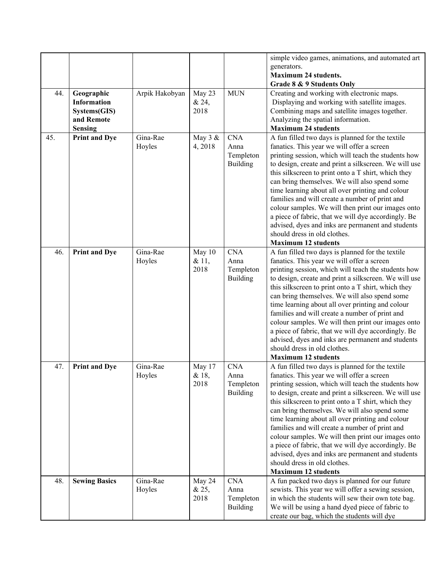|     |                      |                |         |                 | simple video games, animations, and automated art     |
|-----|----------------------|----------------|---------|-----------------|-------------------------------------------------------|
|     |                      |                |         |                 | generators.                                           |
|     |                      |                |         |                 | <b>Maximum 24 students.</b>                           |
|     |                      |                |         |                 | Grade 8 & 9 Students Only                             |
| 44. | Geographic           | Arpik Hakobyan | May 23  | <b>MUN</b>      | Creating and working with electronic maps.            |
|     | <b>Information</b>   |                | & 24,   |                 | Displaying and working with satellite images.         |
|     | Systems(GIS)         |                | 2018    |                 | Combining maps and satellite images together.         |
|     | and Remote           |                |         |                 | Analyzing the spatial information.                    |
|     | <b>Sensing</b>       |                |         |                 | <b>Maximum 24 students</b>                            |
| 45. | <b>Print and Dye</b> | Gina-Rae       | May 3 & | <b>CNA</b>      | A fun filled two days is planned for the textile      |
|     |                      | Hoyles         | 4,2018  | Anna            | fanatics. This year we will offer a screen            |
|     |                      |                |         | Templeton       | printing session, which will teach the students how   |
|     |                      |                |         | <b>Building</b> | to design, create and print a silkscreen. We will use |
|     |                      |                |         |                 | this silkscreen to print onto a T shirt, which they   |
|     |                      |                |         |                 | can bring themselves. We will also spend some         |
|     |                      |                |         |                 | time learning about all over printing and colour      |
|     |                      |                |         |                 | families and will create a number of print and        |
|     |                      |                |         |                 | colour samples. We will then print our images onto    |
|     |                      |                |         |                 | a piece of fabric, that we will dye accordingly. Be   |
|     |                      |                |         |                 | advised, dyes and inks are permanent and students     |
|     |                      |                |         |                 | should dress in old clothes.                          |
|     |                      |                |         |                 | <b>Maximum 12 students</b>                            |
| 46. |                      | Gina-Rae       |         | <b>CNA</b>      |                                                       |
|     | <b>Print and Dye</b> |                | May 10  |                 | A fun filled two days is planned for the textile      |
|     |                      | Hoyles         | & 11,   | Anna            | fanatics. This year we will offer a screen            |
|     |                      |                | 2018    | Templeton       | printing session, which will teach the students how   |
|     |                      |                |         | <b>Building</b> | to design, create and print a silkscreen. We will use |
|     |                      |                |         |                 | this silkscreen to print onto a T shirt, which they   |
|     |                      |                |         |                 | can bring themselves. We will also spend some         |
|     |                      |                |         |                 | time learning about all over printing and colour      |
|     |                      |                |         |                 | families and will create a number of print and        |
|     |                      |                |         |                 | colour samples. We will then print our images onto    |
|     |                      |                |         |                 | a piece of fabric, that we will dye accordingly. Be   |
|     |                      |                |         |                 | advised, dyes and inks are permanent and students     |
|     |                      |                |         |                 | should dress in old clothes.                          |
|     |                      |                |         |                 | <b>Maximum 12 students</b>                            |
| 47. | Print and Dye        | Gina-Rae       | May 17  | <b>CNA</b>      | A fun filled two days is planned for the textile      |
|     |                      | Hoyles         | & 18,   | Anna            | fanatics. This year we will offer a screen            |
|     |                      |                | 2018    | Templeton       | printing session, which will teach the students how   |
|     |                      |                |         | <b>Building</b> | to design, create and print a silkscreen. We will use |
|     |                      |                |         |                 | this silkscreen to print onto a T shirt, which they   |
|     |                      |                |         |                 | can bring themselves. We will also spend some         |
|     |                      |                |         |                 | time learning about all over printing and colour      |
|     |                      |                |         |                 | families and will create a number of print and        |
|     |                      |                |         |                 | colour samples. We will then print our images onto    |
|     |                      |                |         |                 | a piece of fabric, that we will dye accordingly. Be   |
|     |                      |                |         |                 | advised, dyes and inks are permanent and students     |
|     |                      |                |         |                 | should dress in old clothes.                          |
|     |                      |                |         |                 | <b>Maximum 12 students</b>                            |
| 48. | <b>Sewing Basics</b> | Gina-Rae       | May 24  | <b>CNA</b>      | A fun packed two days is planned for our future       |
|     |                      | Hoyles         | & 25,   | Anna            | sewists. This year we will offer a sewing session,    |
|     |                      |                | 2018    | Templeton       | in which the students will sew their own tote bag.    |
|     |                      |                |         | <b>Building</b> | We will be using a hand dyed piece of fabric to       |
|     |                      |                |         |                 | create our bag, which the students will dye           |